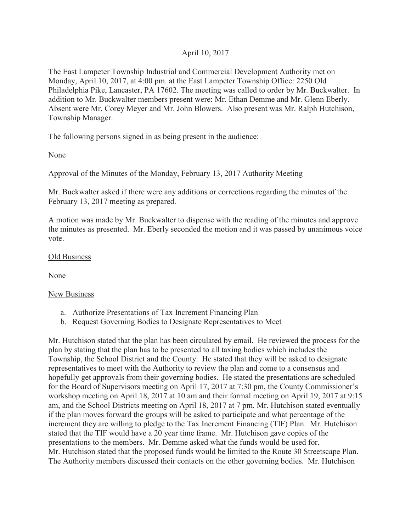## April 10, 2017

The East Lampeter Township Industrial and Commercial Development Authority met on Monday, April 10, 2017, at 4:00 pm. at the East Lampeter Township Office: 2250 Old Philadelphia Pike, Lancaster, PA 17602. The meeting was called to order by Mr. Buckwalter. In addition to Mr. Buckwalter members present were: Mr. Ethan Demme and Mr. Glenn Eberly. Absent were Mr. Corey Meyer and Mr. John Blowers. Also present was Mr. Ralph Hutchison, Township Manager.

The following persons signed in as being present in the audience:

None

## Approval of the Minutes of the Monday, February 13, 2017 Authority Meeting

Mr. Buckwalter asked if there were any additions or corrections regarding the minutes of the February 13, 2017 meeting as prepared.

A motion was made by Mr. Buckwalter to dispense with the reading of the minutes and approve the minutes as presented. Mr. Eberly seconded the motion and it was passed by unanimous voice vote.

## Old Business

None

## New Business

- a. Authorize Presentations of Tax Increment Financing Plan
- b. Request Governing Bodies to Designate Representatives to Meet

Mr. Hutchison stated that the plan has been circulated by email. He reviewed the process for the plan by stating that the plan has to be presented to all taxing bodies which includes the Township, the School District and the County. He stated that they will be asked to designate representatives to meet with the Authority to review the plan and come to a consensus and hopefully get approvals from their governing bodies. He stated the presentations are scheduled for the Board of Supervisors meeting on April 17, 2017 at 7:30 pm, the County Commissioner's workshop meeting on April 18, 2017 at 10 am and their formal meeting on April 19, 2017 at 9:15 am, and the School Districts meeting on April 18, 2017 at 7 pm. Mr. Hutchison stated eventually if the plan moves forward the groups will be asked to participate and what percentage of the increment they are willing to pledge to the Tax Increment Financing (TIF) Plan. Mr. Hutchison stated that the TIF would have a 20 year time frame. Mr. Hutchison gave copies of the presentations to the members. Mr. Demme asked what the funds would be used for. Mr. Hutchison stated that the proposed funds would be limited to the Route 30 Streetscape Plan. The Authority members discussed their contacts on the other governing bodies. Mr. Hutchison